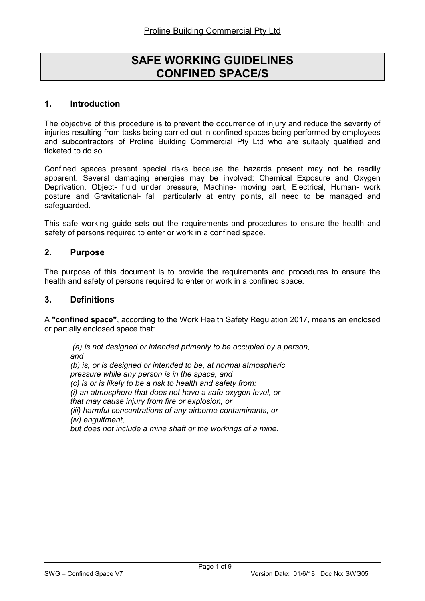# SAFE WORKING GUIDELINES CONFINED SPACE/S

## 1. Introduction

The objective of this procedure is to prevent the occurrence of injury and reduce the severity of injuries resulting from tasks being carried out in confined spaces being performed by employees and subcontractors of Proline Building Commercial Pty Ltd who are suitably qualified and ticketed to do so.

Confined spaces present special risks because the hazards present may not be readily apparent. Several damaging energies may be involved: Chemical Exposure and Oxygen Deprivation, Object- fluid under pressure, Machine- moving part, Electrical, Human- work posture and Gravitational- fall, particularly at entry points, all need to be managed and safeguarded.

This safe working guide sets out the requirements and procedures to ensure the health and safety of persons required to enter or work in a confined space.

## 2. Purpose

The purpose of this document is to provide the requirements and procedures to ensure the health and safety of persons required to enter or work in a confined space.

#### 3. Definitions

A "confined space", according to the Work Health Safety Regulation 2017, means an enclosed or partially enclosed space that:

 (a) is not designed or intended primarily to be occupied by a person, and (b) is, or is designed or intended to be, at normal atmospheric pressure while any person is in the space, and (c) is or is likely to be a risk to health and safety from: (i) an atmosphere that does not have a safe oxygen level, or that may cause injury from fire or explosion, or (iii) harmful concentrations of any airborne contaminants, or (iv) engulfment, but does not include a mine shaft or the workings of a mine.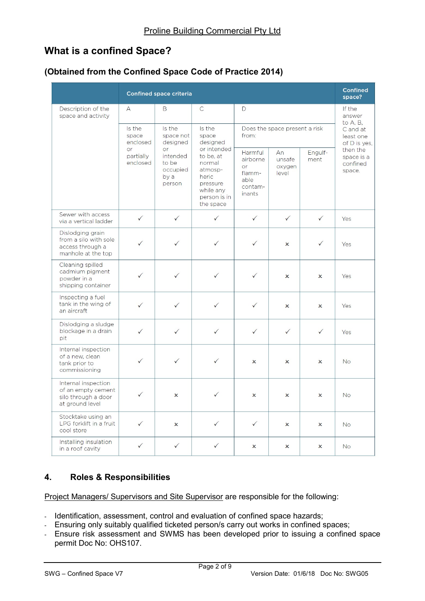# What is a confined Space?

# (Obtained from the Confined Space Code of Practice 2014)

|                                                                                     |                                                            | <b>Confined space criteria</b>                                                           |                                                                                                                                             |                                                                  |                                 |                                       | <b>Confined</b><br>space?                    |
|-------------------------------------------------------------------------------------|------------------------------------------------------------|------------------------------------------------------------------------------------------|---------------------------------------------------------------------------------------------------------------------------------------------|------------------------------------------------------------------|---------------------------------|---------------------------------------|----------------------------------------------|
| Description of the<br>space and activity                                            | A                                                          | B                                                                                        | $\mathsf{C}$                                                                                                                                | D                                                                |                                 |                                       | If the<br>answer<br>to A, B,                 |
|                                                                                     | Is the<br>space<br>enclosed<br>or<br>partially<br>enclosed | Is the<br>space not<br>designed<br>or<br>intended<br>to be<br>occupied<br>by a<br>person | Is the<br>space<br>designed<br>or intended<br>to be, at<br>normal<br>atmosp-<br>heric<br>pressure<br>while any<br>person is in<br>the space | Does the space present a risk<br>from:                           |                                 | C and at<br>least one<br>of D is yes, |                                              |
|                                                                                     |                                                            |                                                                                          |                                                                                                                                             | Harmful<br>airborne<br>or<br>flamm-<br>able<br>contam-<br>inants | An<br>unsafe<br>oxygen<br>level | Engulf-<br>ment                       | then the<br>space is a<br>confined<br>space. |
| Sewer with access<br>via a vertical ladder                                          | $\checkmark$                                               | $\checkmark$                                                                             | $\checkmark$                                                                                                                                | $\checkmark$                                                     | $\checkmark$                    | $\checkmark$                          | Yes                                          |
| Dislodging grain<br>from a silo with sole<br>access through a<br>manhole at the top | $\checkmark$                                               | $\checkmark$                                                                             | $\checkmark$                                                                                                                                | $\checkmark$                                                     | $\boldsymbol{\mathsf{x}}$       | $\checkmark$                          | Yes                                          |
| Cleaning spilled<br>cadmium pigment<br>powder in a<br>shipping container            | $\checkmark$                                               | $\checkmark$                                                                             | $\checkmark$                                                                                                                                | $\checkmark$                                                     | $\boldsymbol{\mathsf{x}}$       | $\boldsymbol{\mathsf{x}}$             | Yes                                          |
| Inspecting a fuel<br>tank in the wing of<br>an aircraft                             | $\checkmark$                                               | $\checkmark$                                                                             | $\checkmark$                                                                                                                                | $\checkmark$                                                     | $\boldsymbol{\mathsf{x}}$       | $\boldsymbol{\mathsf{x}}$             | Yes                                          |
| Dislodging a sludge<br>blockage in a drain<br>pit                                   | $\checkmark$                                               | $\checkmark$                                                                             | $\checkmark$                                                                                                                                | $\checkmark$                                                     | $\checkmark$                    | $\checkmark$                          | Yes                                          |
| Internal inspection<br>of a new, clean<br>tank prior to<br>commissioning            | $\checkmark$                                               | $\checkmark$                                                                             | $\checkmark$                                                                                                                                | $\boldsymbol{\mathsf{x}}$                                        | $\boldsymbol{\mathsf{x}}$       | $\boldsymbol{\mathsf{x}}$             | <b>No</b>                                    |
| Internal inspection<br>of an empty cement<br>silo through a door<br>at ground level | $\checkmark$                                               | $\boldsymbol{\mathsf{x}}$                                                                | $\checkmark$                                                                                                                                | $\boldsymbol{\mathsf{x}}$                                        | $\boldsymbol{\mathsf{x}}$       | $\boldsymbol{\mathsf{x}}$             | <b>No</b>                                    |
| Stocktake using an<br>LPG forklift in a fruit<br>cool store                         | $\checkmark$                                               | $\boldsymbol{\mathsf{x}}$                                                                | $\checkmark$                                                                                                                                | $\checkmark$                                                     | ×                               | ×                                     | <b>No</b>                                    |
| Installing insulation<br>in a roof cavity                                           | $\checkmark$                                               | $\checkmark$                                                                             | $\checkmark$                                                                                                                                | ×                                                                | ×                               | $\boldsymbol{\mathsf{x}}$             | <b>No</b>                                    |

# 4. Roles & Responsibilities

Project Managers/ Supervisors and Site Supervisor are responsible for the following:

- Identification, assessment, control and evaluation of confined space hazards;
- Ensuring only suitably qualified ticketed person/s carry out works in confined spaces;
- Ensure risk assessment and SWMS has been developed prior to issuing a confined space permit Doc No: OHS107.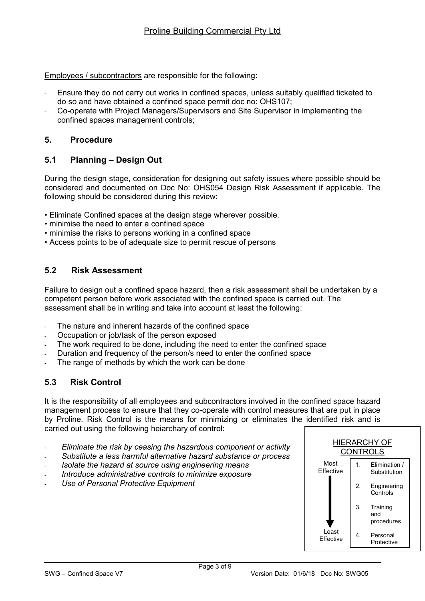Employees / subcontractors are responsible for the following:

- Ensure they do not carry out works in confined spaces, unless suitably qualified ticketed to do so and have obtained a confined space permit doc no: OHS107;
- Co-operate with Project Managers/Supervisors and Site Supervisor in implementing the confined spaces management controls;

## 5. Procedure

# 5.1 Planning – Design Out

During the design stage, consideration for designing out safety issues where possible should be considered and documented on Doc No: OHS054 Design Risk Assessment if applicable. The following should be considered during this review:

- Eliminate Confined spaces at the design stage wherever possible.
- minimise the need to enter a confined space
- minimise the risks to persons working in a confined space
- Access points to be of adequate size to permit rescue of persons

# 5.2 Risk Assessment

Failure to design out a confined space hazard, then a risk assessment shall be undertaken by a competent person before work associated with the confined space is carried out. The assessment shall be in writing and take into account at least the following:

- The nature and inherent hazards of the confined space
- Occupation or job/task of the person exposed
- The work required to be done, including the need to enter the confined space
- Duration and frequency of the person/s need to enter the confined space
- The range of methods by which the work can be done

# 5.3 Risk Control

It is the responsibility of all employees and subcontractors involved in the confined space hazard management process to ensure that they co-operate with control measures that are put in place by Proline. Risk Control is the means for minimizing or eliminates the identified risk and is carried out using the following heiarchary of control:

- Eliminate the risk by ceasing the hazardous component or activity
- Substitute a less harmful alternative hazard substance or process
- Isolate the hazard at source using engineering means
- Introduce administrative controls to minimize exposure
- Use of Personal Protective Equipment

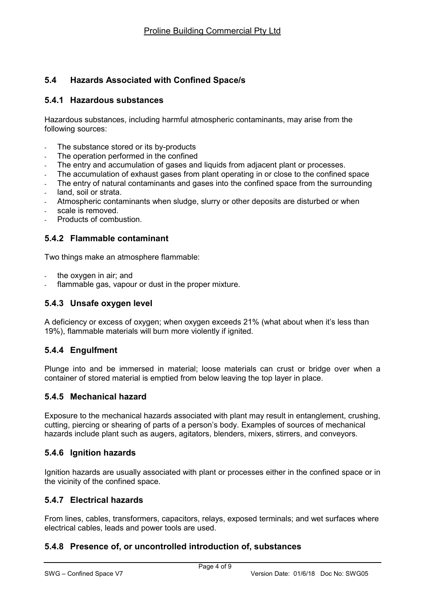# 5.4 Hazards Associated with Confined Space/s

## 5.4.1 Hazardous substances

Hazardous substances, including harmful atmospheric contaminants, may arise from the following sources:

- The substance stored or its by-products
- The operation performed in the confined
- The entry and accumulation of gases and liquids from adjacent plant or processes.
- The accumulation of exhaust gases from plant operating in or close to the confined space
- The entry of natural contaminants and gases into the confined space from the surrounding
- land, soil or strata.
- Atmospheric contaminants when sludge, slurry or other deposits are disturbed or when
- scale is removed
- Products of combustion.

## 5.4.2 Flammable contaminant

Two things make an atmosphere flammable:

- the oxygen in air; and
- flammable gas, vapour or dust in the proper mixture.

#### 5.4.3 Unsafe oxygen level

A deficiency or excess of oxygen; when oxygen exceeds 21% (what about when it's less than 19%), flammable materials will burn more violently if ignited.

## 5.4.4 Engulfment

Plunge into and be immersed in material; loose materials can crust or bridge over when a container of stored material is emptied from below leaving the top layer in place.

#### 5.4.5 Mechanical hazard

Exposure to the mechanical hazards associated with plant may result in entanglement, crushing, cutting, piercing or shearing of parts of a person's body. Examples of sources of mechanical hazards include plant such as augers, agitators, blenders, mixers, stirrers, and conveyors.

#### 5.4.6 Ignition hazards

Ignition hazards are usually associated with plant or processes either in the confined space or in the vicinity of the confined space.

## 5.4.7 Electrical hazards

From lines, cables, transformers, capacitors, relays, exposed terminals; and wet surfaces where electrical cables, leads and power tools are used.

## 5.4.8 Presence of, or uncontrolled introduction of, substances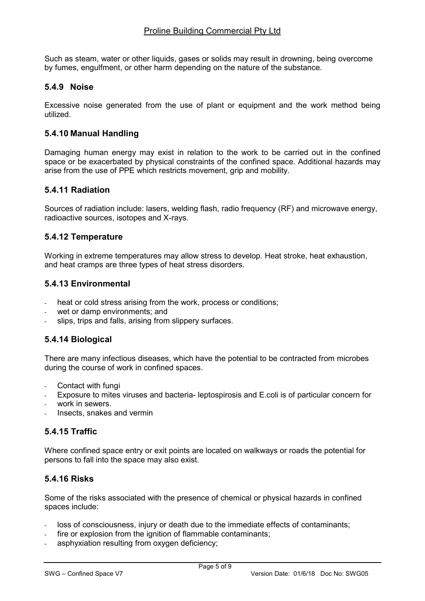Such as steam, water or other liquids, gases or solids may result in drowning, being overcome by fumes, engulfment, or other harm depending on the nature of the substance.

## 5.4.9 Noise

Excessive noise generated from the use of plant or equipment and the work method being utilized.

## 5.4.10 Manual Handling

Damaging human energy may exist in relation to the work to be carried out in the confined space or be exacerbated by physical constraints of the confined space. Additional hazards may arise from the use of PPE which restricts movement, grip and mobility.

## 5.4.11 Radiation

Sources of radiation include: lasers, welding flash, radio frequency (RF) and microwave energy, radioactive sources, isotopes and X-rays.

## 5.4.12 Temperature

Working in extreme temperatures may allow stress to develop. Heat stroke, heat exhaustion, and heat cramps are three types of heat stress disorders.

## 5.4.13 Environmental

- heat or cold stress arising from the work, process or conditions;
- wet or damp environments; and
- slips, trips and falls, arising from slippery surfaces.

# 5.4.14 Biological

There are many infectious diseases, which have the potential to be contracted from microbes during the course of work in confined spaces.

- Contact with fungi
- Exposure to mites viruses and bacteria- leptospirosis and E.coli is of particular concern for
- work in sewers.
- Insects, snakes and vermin

## 5.4.15 Traffic

Where confined space entry or exit points are located on walkways or roads the potential for persons to fall into the space may also exist.

## 5.4.16 Risks

Some of the risks associated with the presence of chemical or physical hazards in confined spaces include:

- loss of consciousness, injury or death due to the immediate effects of contaminants;
- fire or explosion from the ignition of flammable contaminants;
- asphyxiation resulting from oxygen deficiency;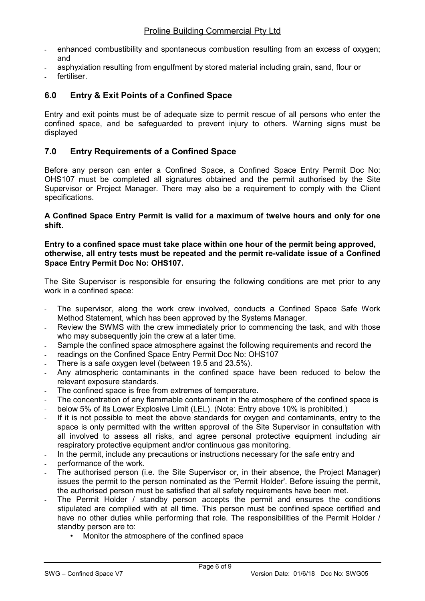- enhanced combustibility and spontaneous combustion resulting from an excess of oxygen; and
- asphyxiation resulting from engulfment by stored material including grain, sand, flour or
- fertiliser

## 6.0 Entry & Exit Points of a Confined Space

Entry and exit points must be of adequate size to permit rescue of all persons who enter the confined space, and be safeguarded to prevent injury to others. Warning signs must be displayed

## 7.0 Entry Requirements of a Confined Space

Before any person can enter a Confined Space, a Confined Space Entry Permit Doc No: OHS107 must be completed all signatures obtained and the permit authorised by the Site Supervisor or Project Manager. There may also be a requirement to comply with the Client specifications.

A Confined Space Entry Permit is valid for a maximum of twelve hours and only for one shift.

#### Entry to a confined space must take place within one hour of the permit being approved, otherwise, all entry tests must be repeated and the permit re-validate issue of a Confined Space Entry Permit Doc No: OHS107.

The Site Supervisor is responsible for ensuring the following conditions are met prior to any work in a confined space:

- The supervisor, along the work crew involved, conducts a Confined Space Safe Work Method Statement, which has been approved by the Systems Manager.
- Review the SWMS with the crew immediately prior to commencing the task, and with those who may subsequently join the crew at a later time.
- Sample the confined space atmosphere against the following requirements and record the
- readings on the Confined Space Entry Permit Doc No: OHS107
- There is a safe oxygen level (between 19.5 and 23.5%).
- Any atmospheric contaminants in the confined space have been reduced to below the relevant exposure standards.
- The confined space is free from extremes of temperature.
- The concentration of any flammable contaminant in the atmosphere of the confined space is
- below 5% of its Lower Explosive Limit (LEL). (Note: Entry above 10% is prohibited.)
- If it is not possible to meet the above standards for oxygen and contaminants, entry to the space is only permitted with the written approval of the Site Supervisor in consultation with all involved to assess all risks, and agree personal protective equipment including air respiratory protective equipment and/or continuous gas monitoring.
- In the permit, include any precautions or instructions necessary for the safe entry and
- performance of the work.
- The authorised person (i.e. the Site Supervisor or, in their absence, the Project Manager) issues the permit to the person nominated as the 'Permit Holder'. Before issuing the permit, the authorised person must be satisfied that all safety requirements have been met.
- The Permit Holder / standby person accepts the permit and ensures the conditions stipulated are complied with at all time. This person must be confined space certified and have no other duties while performing that role. The responsibilities of the Permit Holder / standby person are to:
	- Monitor the atmosphere of the confined space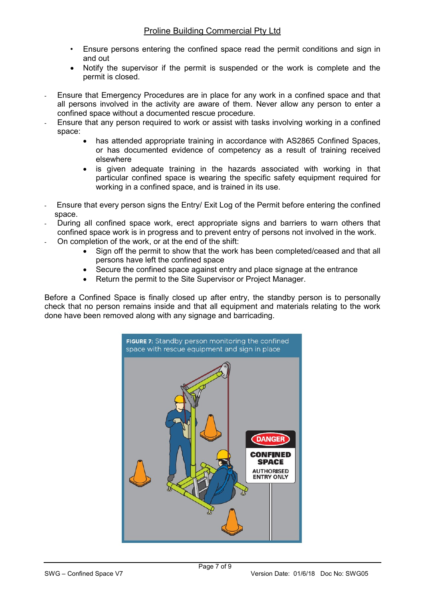- Ensure persons entering the confined space read the permit conditions and sign in and out
- Notify the supervisor if the permit is suspended or the work is complete and the permit is closed.
- Ensure that Emergency Procedures are in place for any work in a confined space and that all persons involved in the activity are aware of them. Never allow any person to enter a confined space without a documented rescue procedure.
- Ensure that any person required to work or assist with tasks involving working in a confined space:
	- has attended appropriate training in accordance with AS2865 Confined Spaces, or has documented evidence of competency as a result of training received elsewhere
	- is given adequate training in the hazards associated with working in that particular confined space is wearing the specific safety equipment required for working in a confined space, and is trained in its use.
- Ensure that every person signs the Entry/ Exit Log of the Permit before entering the confined space.
- During all confined space work, erect appropriate signs and barriers to warn others that confined space work is in progress and to prevent entry of persons not involved in the work.
- On completion of the work, or at the end of the shift:
	- Sign off the permit to show that the work has been completed/ceased and that all persons have left the confined space
	- Secure the confined space against entry and place signage at the entrance
	- Return the permit to the Site Supervisor or Project Manager.

Before a Confined Space is finally closed up after entry, the standby person is to personally check that no person remains inside and that all equipment and materials relating to the work done have been removed along with any signage and barricading.

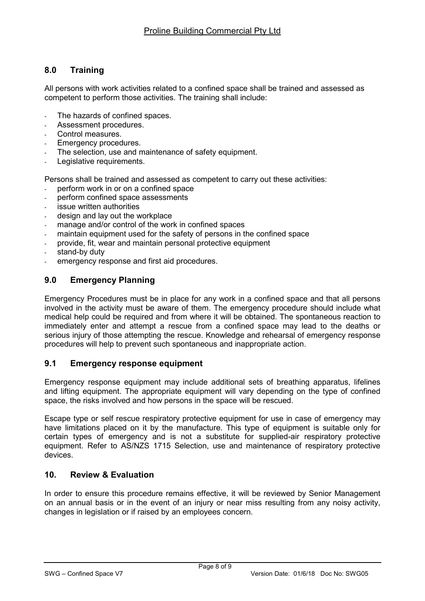# 8.0 Training

All persons with work activities related to a confined space shall be trained and assessed as competent to perform those activities. The training shall include:

- The hazards of confined spaces.
- Assessment procedures.
- Control measures.
- Emergency procedures.
- The selection, use and maintenance of safety equipment.
- Legislative requirements.

Persons shall be trained and assessed as competent to carry out these activities:

- perform work in or on a confined space
- perform confined space assessments
- issue written authorities
- design and lay out the workplace
- manage and/or control of the work in confined spaces
- maintain equipment used for the safety of persons in the confined space
- provide, fit, wear and maintain personal protective equipment
- stand-by duty
- emergency response and first aid procedures.

## 9.0 Emergency Planning

Emergency Procedures must be in place for any work in a confined space and that all persons involved in the activity must be aware of them. The emergency procedure should include what medical help could be required and from where it will be obtained. The spontaneous reaction to immediately enter and attempt a rescue from a confined space may lead to the deaths or serious injury of those attempting the rescue. Knowledge and rehearsal of emergency response procedures will help to prevent such spontaneous and inappropriate action.

## 9.1 Emergency response equipment

Emergency response equipment may include additional sets of breathing apparatus, lifelines and lifting equipment. The appropriate equipment will vary depending on the type of confined space, the risks involved and how persons in the space will be rescued.

Escape type or self rescue respiratory protective equipment for use in case of emergency may have limitations placed on it by the manufacture. This type of equipment is suitable only for certain types of emergency and is not a substitute for supplied-air respiratory protective equipment. Refer to AS/NZS 1715 Selection, use and maintenance of respiratory protective devices.

## 10. Review & Evaluation

In order to ensure this procedure remains effective, it will be reviewed by Senior Management on an annual basis or in the event of an injury or near miss resulting from any noisy activity, changes in legislation or if raised by an employees concern.